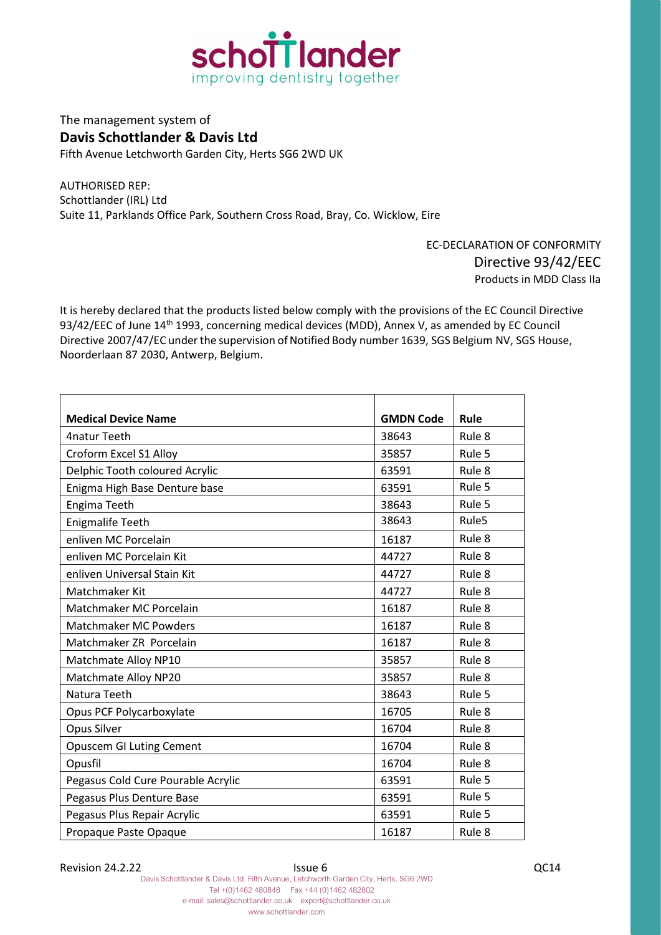

The management system of **Davis Schottlander & Davis Ltd** Fifth Avenue Letchworth Garden City, Herts SG6 2WD UK

AUTHORISED REP: Schottlander (IRL) Ltd Suite 11, Parklands Office Park, Southern Cross Road, Bray, Co. Wicklow, Eire

> EC-DECLARATION OF CONFORMITY Directive 93/42/EEC Products in MDD Class IIa

It is hereby declared that the products listed below comply with the provisions of the EC Council Directive 93/42/EEC of June 14<sup>th</sup> 1993, concerning medical devices (MDD), Annex V, as amended by EC Council Directive 2007/47/EC under the supervision of Notified Body number 1639, SGS Belgium NV, SGS House, Noorderlaan 87 2030, Antwerp, Belgium.

| <b>Medical Device Name</b>         | <b>GMDN Code</b> | Rule              |
|------------------------------------|------------------|-------------------|
| 4natur Teeth                       | 38643            | Rule 8            |
| Croform Excel S1 Alloy             | 35857            | Rule 5            |
| Delphic Tooth coloured Acrylic     | 63591            | Rule 8            |
| Enigma High Base Denture base      | 63591            | Rule 5            |
| Engima Teeth                       | 38643            | Rule 5            |
| <b>Enigmalife Teeth</b>            | 38643            | Rule <sub>5</sub> |
| enliven MC Porcelain               | 16187            | Rule 8            |
| enliven MC Porcelain Kit           | 44727            | Rule 8            |
| enliven Universal Stain Kit        | 44727            | Rule 8            |
| Matchmaker Kit                     | 44727            | Rule 8            |
| Matchmaker MC Porcelain            | 16187            | Rule 8            |
| <b>Matchmaker MC Powders</b>       | 16187            | Rule 8            |
| Matchmaker ZR Porcelain            | 16187            | Rule 8            |
| Matchmate Alloy NP10               | 35857            | Rule 8            |
| Matchmate Alloy NP20               | 35857            | Rule 8            |
| Natura Teeth                       | 38643            | Rule 5            |
| Opus PCF Polycarboxylate           | 16705            | Rule 8            |
| Opus Silver                        | 16704            | Rule 8            |
| <b>Opuscem GI Luting Cement</b>    | 16704            | Rule 8            |
| Opusfil                            | 16704            | Rule 8            |
| Pegasus Cold Cure Pourable Acrylic | 63591            | Rule 5            |
| Pegasus Plus Denture Base          | 63591            | Rule 5            |
| Pegasus Plus Repair Acrylic        | 63591            | Rule 5            |
| Propaque Paste Opaque              | 16187            | Rule 8            |

Revision 24.2.22 **ISSUE 6** ISSUE 6 QC14

Davis Schottlander & Davis Ltd. Fifth Avenue, Letchworth Garden City, Herts, SG6 2WD Tel +(0)1462 480848 Fax +44 (0)1462 482802 e-mail: sales@schottlander.co.uk export@schottlander.co.uk www.schottlander.com